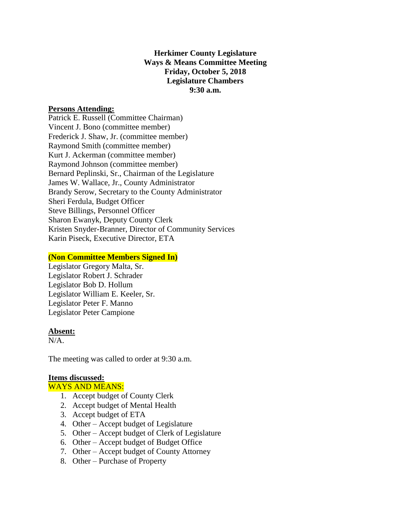**Herkimer County Legislature Ways & Means Committee Meeting Friday, October 5, 2018 Legislature Chambers 9:30 a.m.**

## **Persons Attending:**

Patrick E. Russell (Committee Chairman) Vincent J. Bono (committee member) Frederick J. Shaw, Jr. (committee member) Raymond Smith (committee member) Kurt J. Ackerman (committee member) Raymond Johnson (committee member) Bernard Peplinski, Sr., Chairman of the Legislature James W. Wallace, Jr., County Administrator Brandy Serow, Secretary to the County Administrator Sheri Ferdula, Budget Officer Steve Billings, Personnel Officer Sharon Ewanyk, Deputy County Clerk Kristen Snyder-Branner, Director of Community Services Karin Piseck, Executive Director, ETA

## **(Non Committee Members Signed In)**

Legislator Gregory Malta, Sr. Legislator Robert J. Schrader Legislator Bob D. Hollum Legislator William E. Keeler, Sr. Legislator Peter F. Manno Legislator Peter Campione

#### **Absent:**

N/A.

The meeting was called to order at 9:30 a.m.

# **Items discussed:**

## WAYS AND MEANS:

- 1. Accept budget of County Clerk
- 2. Accept budget of Mental Health
- 3. Accept budget of ETA
- 4. Other Accept budget of Legislature
- 5. Other Accept budget of Clerk of Legislature
- 6. Other Accept budget of Budget Office
- 7. Other Accept budget of County Attorney
- 8. Other Purchase of Property